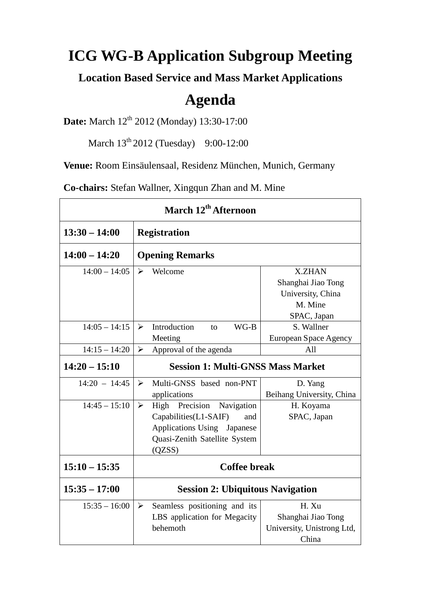## **ICG WG-B Application Subgroup Meeting**

**Location Based Service and Mass Market Applications**

## **Agenda**

**Date:** March 12<sup>th</sup> 2012 (Monday) 13:30-17:00

March 13<sup>th</sup> 2012 (Tuesday) 9:00-12:00

**Venue:** Room Einsäulensaal, Residenz München, Munich, Germany

**Co-chairs:** Stefan Wallner, Xingqun Zhan and M. Mine

| March 12 <sup>th</sup> Afternoon |                                                       |                            |
|----------------------------------|-------------------------------------------------------|----------------------------|
| $13:30 - 14:00$                  | <b>Registration</b>                                   |                            |
| $14:00 - 14:20$                  | <b>Opening Remarks</b>                                |                            |
| $14:00 - 14:05$                  | Welcome<br>$\blacktriangleright$                      | <b>X.ZHAN</b>              |
|                                  |                                                       | Shanghai Jiao Tong         |
|                                  |                                                       | University, China          |
|                                  |                                                       | M. Mine                    |
|                                  |                                                       | SPAC, Japan                |
| $14:05 - 14:15$                  | Introduction<br>$WG-B$<br>$\blacktriangleright$<br>to | S. Wallner                 |
|                                  | Meeting                                               | European Space Agency      |
| $14:15 - 14:20$                  | Approval of the agenda<br>$\blacktriangleright$       | All                        |
| $14:20 - 15:10$                  | <b>Session 1: Multi-GNSS Mass Market</b>              |                            |
| $14:20 - 14:45$                  | Multi-GNSS based non-PNT<br>$\blacktriangleright$     | D. Yang                    |
|                                  | applications                                          | Beihang University, China  |
| $14:45 - 15:10$                  | High Precision<br>$\blacktriangleright$<br>Navigation | H. Koyama                  |
|                                  | Capabilities(L1-SAIF)<br>and                          | SPAC, Japan                |
|                                  | Applications Using Japanese                           |                            |
|                                  | Quasi-Zenith Satellite System                         |                            |
|                                  | (QZSS)                                                |                            |
| $15:10 - 15:35$                  | <b>Coffee break</b>                                   |                            |
| $15:35 - 17:00$                  | <b>Session 2: Ubiquitous Navigation</b>               |                            |
| $15:35 - 16:00$                  | Seamless positioning and its<br>$\blacktriangleright$ | H. Xu                      |
|                                  | LBS application for Megacity                          | Shanghai Jiao Tong         |
|                                  | behemoth                                              | University, Unistrong Ltd, |
|                                  |                                                       | China                      |